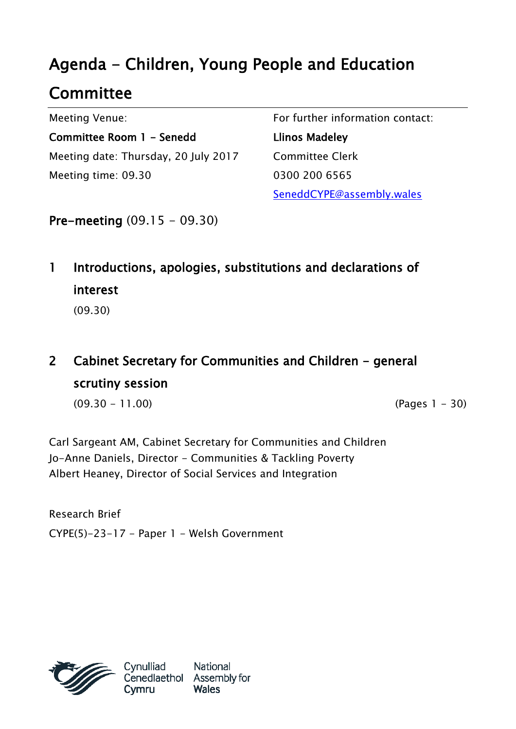## Agenda - Children, Young People and Education

## **Committee**

Meeting Venue:

Committee Room 1 - Senedd Meeting date: Thursday, 20 July 2017 Meeting time: 09.30

For further information contact: Llinos Madeley Committee Clerk 0300 200 6565 SeneddCYPE@assembly.wales

Pre-meeting (09.15 - 09.30)

1 Introductions, apologies, substitutions and declarations of interest

(09.30)

## 2 Cabinet Secretary for Communities and Children - general scrutiny session

(09.30 - 11.00) (Pages 1 - 30)

Carl Sargeant AM, Cabinet Secretary for Communities and Children Jo-Anne Daniels, Director - Communities & Tackling Poverty Albert Heaney, Director of Social Services and Integration

Research Brief CYPE(5)-23-17 - Paper 1 - Welsh Government



National Cenedlaethol Assembly for **Wales**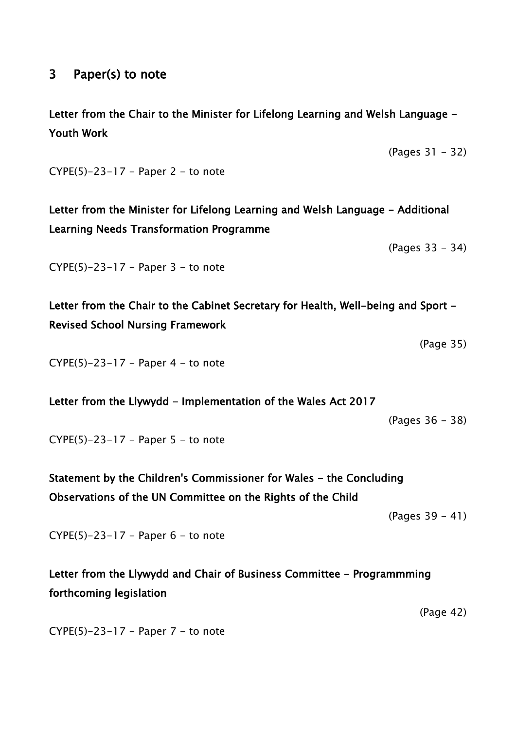## 3 Paper(s) to note

Letter from the Chair to the Minister for Lifelong Learning and Welsh Language - Youth Work

(Pages 31 - 32)

 $CYPE(5)-23-17$  – Paper 2 – to note

Letter from the Minister for Lifelong Learning and Welsh Language - Additional Learning Needs Transformation Programme

(Pages 33 - 34)

 $CYPE(5)-23-17 - Paper 3 - to note$ 

Letter from the Chair to the Cabinet Secretary for Health, Well-being and Sport -Revised School Nursing Framework

 $CYPE(5)-23-17$  – Paper 4 – to note

Letter from the Llywydd - Implementation of the Wales Act 2017

(Pages 36 - 38)

(Page 35)

 $CYPE(5)-23-17$  - Paper 5 - to note

Statement by the Children's Commissioner for Wales - the Concluding Observations of the UN Committee on the Rights of the Child

(Pages 39 - 41)

 $CYPE(5)-23-17$  - Paper  $6$  - to note

Letter from the Llywydd and Chair of Business Committee - Programmming forthcoming legislation

(Page 42)

 $CYPE(5)-23-17$  - Paper 7 - to note